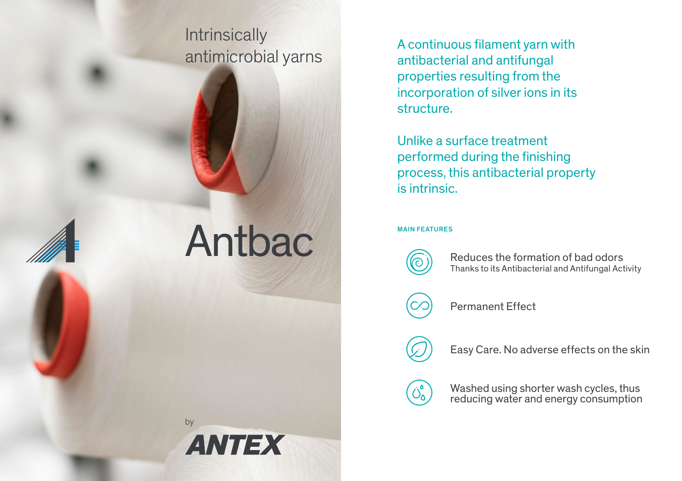# **Intrinsically** antimicrobial yarns

Antbac

by

**ANTEX** 

A continuous filament yarn with antibacterial and antifungal properties resulting from the incorporation of silver ions in its structure.

Unlike a surface treatment performed during the finishing process, this antibacterial property is intrinsic.

### MAIN FEATURES



 $\left[\bigcirc^\circ_\mathsf{O}\right]$ 

Reduces the formation of bad odors Thanks to its Antibacterial and Antifungal Activity

Permanent Effect

Easy Care. No adverse effects on the skin

Washed using shorter wash cycles, thus reducing water and energy consumption